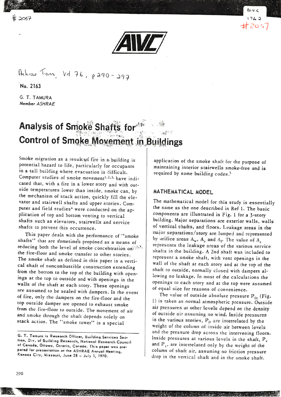$2057$ 





Ashrao Trans, Vel 76, p 290-297

No.2ló3

G. T. TAMURA Member ASHRAE

## Analysis of Smoke Shafts for  $mg^2$ Control of Smoke Movement in Buildings

Smoke migration as a result of fire in a building is pocential hazard co life, parricularly for occupanrs in a tall building where evacuation is difficult. Computer studies of smoke movement<sup>1,2,3,</sup> have indicated that, with a fire in a lower story and wirh ourside temperarures lower chan inside, smoke can, by the mechanism of stack action, quickly fill the elevator and stairwell shafts and upper stories. Computer and field studies<sup>4</sup> were conducted on the applicarion of cop and borcom venring to verrical shafts such as elevacors, srairwells and service shafts to prevent this occurrence.

This paper deals with the performance of "smoke shafts" that are sometimes proposed as a means of reducing both the level of smoke concentration on: the fire-floor and smoke rransfer co other srories. The smoke shaft as defined in this paper is a vertical shafr of noncombusrible consrruction extending from che bortom ro rhe top of the building wirh openings at the top to outside and with openings in the walls of the shaft at each story. These openings are assumed ro be sealed with dampers. In rhe evenr of fire, only rhe dampers on rhe fire-floor and the top ourside damper are opened to exhausr smoke from the fire-floor to outside. The movement of air<br>and smoke through the shaft depends solely on stack action. The "smoke tower" is a special

application of the smoke shaft for the purpose of maintaining inrerior srairwells smoke-free and is required by some building codes.<sup>5</sup>

#### MATHEMATICAL MODEL

The marhemarical model for this srudy is essentially the same as che one described in Ref l. The basic components are illustrated in Fig. 1 for a 3-story building. Major separations are exterior walls, walls of vertical shafts, and floors. Leakage areas in the major separations/story are lumped and represented by orifice areas  $A_w$ ,  $A_s$  and  $A_t$ . The value of  $A_s$ represents the leakage areas of the various service<br>shafts in the building. A 2nd shaft was included to represent a smoke shaft, with vent openings in the wall of the shaft at each story and at the top of the shaft co outside, normally closed with dampers allowing no leakage. In most of the calculations the openings ro each story and at che top were assumed of equal size for reasons of convenience.

The value of outside absolute pressure  $P_{01}$  (Fig. 1) is taken as normal atmospheric pressure. Outside<br>air pressures at other levels depend on the density of outside air assuming no wind. Inside pressures in the various stories,  $P_i$ , are interrelated by the weight of the column of inside air between levels<br>and the pressure drop across the intervening floors. Inside pressures at various levels in the shaft,  $P_v$ and  $P_s$ , are interrelated only by the weight of the column of shafr air, assuming no friction pressure drop in the vertical shaft and in the smoke shaft.

G. T. Tamura is Research Officer, Building Services Section, Div. of Building Research, National Research Council of Canada, Ottawa, Ontario, Canada. This paper was prepared for presentation at the ASHRAE Annual Meeting, Kansas City, Missouri, June 28 - July 1, 1970.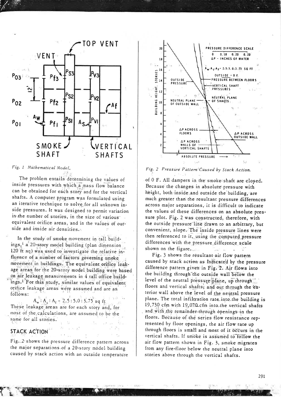

#### Fig. 1 Mathematical Model.

The problem entails determining the values of inside pressures with which a mass flow balance can be obtained for each story and for the vertical shafts. A computer program was formulated using an iterative technique to solve for all unknown inside pressures. It was designed to permit variation in the number of stories, in the size of various equivalent orifice areas, and in the values of outside and inside air densities.

In the study of smoke movement in tall buildings,<sup>1</sup> a 20-story model building (plan dimension 120 ft sq) was used to investigate the relative influence of a number of factors governing smoke movement in buildings. The equivalent orifice leakage areas for the 20-story model building were based on air leakage measurements in 4 tall office buildings.<sup>1</sup> For this study, similar values of equivalent orifice leakage areas were assumed and are as follows:

 $A_w: A_s: A_f = 2.5:5.0:3.75$  sq ft These leakage areas are for each story and, for most of the calculations, are assumed to be the same for all stories.

## **STACK ACTION**

Fig. 2 shows the pressure difference pattern across the major separations of a 20-story model building caused by stack action with an outside temperature



Fig. 2 Pressure Pattern Caused by Stack Action.

of 0 F. All dampers in the smoke shaft are closed. Because the changes in absolute pressure with height, both inside and outside the building, are much greater than the resultant pressure differences across major separations, it is difficult to indicate the values of these differences on an absolute pressure plot. Fig. 2 was constructed, therefore, with the outside pressure line drawn to an arbitrary, but convenient, slope. The inside pressure lines were then referenced to it, using the computed pressure differences with the pressure difference scale shown on the figure.

Fig. 3 shows the resultant air flow pattern caused by stack action as fudicated by the pressure difference pattern given in Fig. 2. Air flows into the building through the outside wall below the level of the neutral pressure plane, up through floors and vertical shafts, and out through the exterior wall above the level of the neutral pressure plane. The total infiltration rate into the building is 19,730 cfm with 19,070 cfm into the vertical shafts and with the remainder-through openings in the floors. Because of the series flow resistance represented by floor openings, the air flow rate up through floors is small and most of it occurs in the vertical shafts. If smoke is assumed to follow the air flow pattern shown in Fig. 3, smoke migrates from any fire-floor below the neutral plane into stories above through the vertical shafts.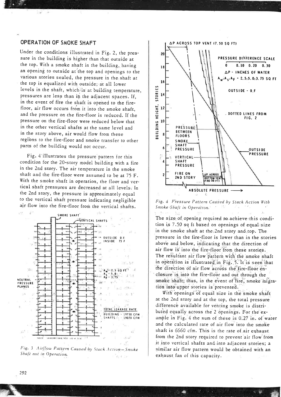#### OPERATION OF SMOKE SHAFT

 $\sim$ 

Under the conditions illustrated in Fig. 2, the pressure in the building is higher than that outside at the top. With a smoke shaft in the building, having an opening to outside at the top and openings to the various stories sealed, the pressure in the shaft at the top is equalized with outside; at all lower levels in the shaft, which is at building temperature, pressures are less than in the adjacent spaces. If, in the event of fire the shaft is opened to the firefloor, air flow occurs from it into the smoke shaft, and the pressure on the fire-floor is reduced. If the pressure on the fire-floor were reduced below that in the other vertical shafts at the same level and in the story above, air would flow from these regions to the fire-floor and smoke transfer to other parts of the building would not occur.

Fig. 4 illustrates the pressure pattern for this condition for the 20-story model building with a fire in the 2nd story. The air temperature in the smoke shaft and the fire-floor were assumed to be at 75 F. With the smoke shaft in operation, the floor and vertical shaft pressures are decreased at all levels. In the 2nd story, the pressure is approximately equal to the vertical shaft pressure indicating negligible air flow into the fire-floor from the vertical shafts.







Fig. 4 Pressure Pattern Caused by Stack Action With Smoke Shaft in Operation. of an intern Contractor 3.8

The size of opening required to achieve this condition is 7.50 sq ft based on openings of equal size in the smoke shaft at the 2nd story and top. The pressure in the fire-floor is lower than in the stories above and below, indicating that the direction of air flow is into the fire-floor from these stories. The resultant air flow pattern with the smoke shaft in operation is illustrated in Fig. 5. It is seen that the direction of air flow across the fire-floor enclosure is into the fire-floor and out through the smoke shaft; thus, in the event of fire, smoke migration into upper stories is prevented.

With openings of equal size in the smoke shaft at the 2nd story and at the top, the total pressure difference available for venting smoke is distributed equally across the 2 openings. For the example in Fig. 4 the sum of these is 0.27 in. of water and the calculated rate of air flow into the smoke shaft is 6660 cfm. This is the rate of air exhaust from the 2nd story required to prevent air flow from it into vertical shafts and into adjacent stories; a similar air flow pattern would be obtained with an exhaust fan of this capacity.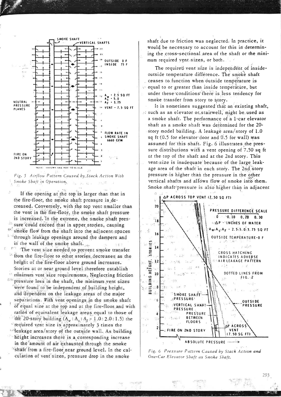



If the opening at the top is larger than that in the fire-floor, the smoke shaft pressure is decreased. Conversely, with the top vent smaller than the vent in the fire-floor, the smoke shaft pressure is increased. In the extreme, the smoke shaft presis sure could exceed that in upper stories, causing  $\alpha$ smoke flow from the shaft into the adjacent spaces "through leakage openings around the dampers and in the wall of the smoke shaft....  $= 0.75$ 

The vent size needed to prevent smoke transfer <sup>3</sup> from the fire-floor to other stories decreases as the height of the fire-floor above ground increases. Stories at or near ground level therefore establish minimum vent size requirements. Neglecting friction <sup>05</sup> pressure loss in the shaft, the minimum vent sizes were found to be independent of building height, and dependent on the leakage areas of the major separations. With vent openings in the smoke shaft of equal size at the top and at the fire-floor and with ratios of equivalent leakage areas equal to those of the 20-story building  $(A_w : A_s : A_f = 1.0 : 2.0 : 1.5)$  the required vent size is approximately 3 times the deakage area/story of the outside wall. As building height increases there is a corresponding increase in the amount of air exhausted through the smoke "shaft' from a fire-floor near ground level. In the calculation of vent sizes, pressure drop in the smoke

shaft due to friction was neglected. In practice, it would be necessary to account for this in determining the cross-sectional area of the shaft or the minimum required vent sizes, or both.

The required vent size is independent of insideoutside temperature difference. The smoke shaft ceases to function when outside temperature is equal to or greater than inside temperature, but under these conditions there is less tendency for smoke transfer from story to story.

It is sometimes suggested that an existing shaft, s such as an elevator or stairwell, might be used as a smoke shaft. The performance of a 1-car elevator shaft as a smoke shaft was determined for the 20story model building. A leakage area/story of 1.0 sq ft (0.5 for elevator door and 0.5 for wall) was assumed for this shaft. Fig. 6 illustrates the pressure distributions with a vent opening of 7.50 sq ft at the top of the shaft and at the 2nd story. This ventisize is inadequate because of the large leakage area of the shaft in each story. The 2nd story pressure is higher than the pressure in the other vertical shafts and allows flow of smoke into them. Smoke shaft pressure is also higher than in adjacent



Fig. 6 Pressure Puttern Caused by Stack Action and One-Car Elevator Shaft as Smoke Shaft.

fer mill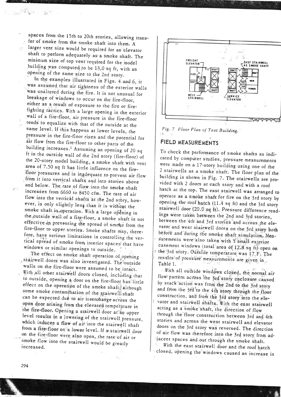spaces from the 15th to 20th stories, allowing transfer of smoke from the smoke shaft into them. A larger vent size would be required for an elevator shaft to perform adequately as a smoke shaft. The minimum size of top vent required for the model building was computed to be 13,0 sq ft, with an opening of the same size to the 2nd story.

East of the firm of the contract of

In the examples illustrated in Figs. 4 and 6, it was assumed that air tightness of the exterior walls was unaltered during the fire. It is not unusual for breakage of windows to occur on the fire-floor, either as a result of exposure to the fire or firefighting tactics. With a large opening in the exterior wall of a fire-floor, air pressure in the fire-floor tends to equalize with that of the outside at the same level. If this happens at lower levels, the pressure in the fire-floor rises and the potential for air flow from the fire-floor to other parts of the building increases.<sup>1</sup> Assuming an opening of 20 sq ft in the outside wall of the 2nd story (fire-floor) of the 20-story model building, a smoke shaft with vent area of 7.50 sq ft has little influence on the firefloor pressures and is inadequate to prevent air flow from it into vertical shafts and into stories above and below. The rate of flow into the smoke shaft increases from 6660 to 8450 cfm. The rate of air flow into the vertical shafts at the 2nd story, however, is only slightly less than it is without the smoke shaft in operation. With a large opening in the outside wall of a fire-floor, a smoke shaft is not effective in preventing the spread of smoke from the fire-floor to upper stories. Smoke shafts may, therefore, have serious limitations in controlling the vertical spread of smoke from interior spaces that have windows or similar openings to outside.

The effect on smoke shaft operation of opening stairwell doors was also investigated. The outside walls on the fire-floor were assumed to be intact. With all other stairwell doors closed, including that to outside, opening a door on the fire-floor has little effect on the operation of the smoke shaft; although some smoke contammation of the stairwell shaft can be expected due to air interchange across the open door arising from the elevated temperature in the fire-floor. Opening a stairwell door at an upper level results in a lowering of the stairwell pressure, which induces a flow of air into the stairwell shaft from a fire-floor on a lower level. If a stairwell door on the fire-floor were also open, the rate of air or smoke flow into the stairwell would be greatly increased.



Fig. 7 Floor Plan of Test Building.  $^{\prime}$  A

### FIELD MEASUREMENTS

To check the performance of smoke shafts as indicated by computer studies, pressure measurements were made on a 17-story building using one of the 2 stairwells as a smoke shaft. The floor plan of the building is shown in Fig. 7. The stairwells are provided with 2 doors at each story and with a roof hatch at the top. The east stairwell was arranged to operate as a smoke shaft for fire on the 3rd story by opening the roof hatch (11.4 sq ft) and the 3rd story stairwell door (20.0 sq ft). Pressure difference readings were taken between the 2nd and 3rd stories, between the 4th and 3rd stories and across the elevaror and west stairwell doors on the 3rd story both before and during the smoke shaft simulation. Measurements were also taken with 5 small exterior casement windows (total area of 12.8 sq ft) open on the 3rd story. Outside temperature was 17 F. The results of pressure measurements are given in Table I.

- With all outside windows closed, the normal air flow pattern across the 3rd story enclosure caused by stack action was from the 2nd to the 3rd story and from the 3rd to the 4th story through the floor construction, and from the 3rd story into the elevator and stairwell shafts. With the east stairwell acting as a smoke shaft, the direction of flow through the floor construction between 3rd and 4th stories and across the west stairwell and elevator doors on the 3rd story was reversed. The direction of air flow was therefore into the 3rd story from adjacent spaces and out through the smoke shaft.

With the east stairwell door and the roof hatch closed, opening the windows caused an increase in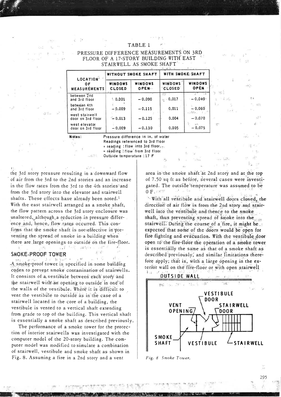#### **TABLE 1**

 $\mathcal{A}$  . In

PRESSURE DIFFERENCE MEASUREMENTS ON 3RD FLOOR OF A 17-STORY BUILDING WITH EAST STAIRWELL AS SMOKE SHAFT

 $\chi$  T  $\sim$ 

 $-100 - 1$ 

-ville William

 $\lesssim 5$ 

 $\sim$   $\sim$ 

 $\mathcal{L}_{\mathcal{A}}(X)$ 

 $\bar{b}$ is dise

J.  $\mathbf{A}$ 

 $5.1$ 

 $\alpha_{\rm c}$ 

862

4.5%

 $\approx~\gamma_{\rm s}$ 

-35

fu us

理

 $\frac{1}{2}$  . 影。

| LOCATION"<br>0 F<br><b>MEASUREMENTS</b> | <b>WITHOUT SMOKE SHAFT</b> |                  | <b>WITH SMOKE SHAFT</b>  |                                         |
|-----------------------------------------|----------------------------|------------------|--------------------------|-----------------------------------------|
|                                         | WINDOWS<br><b>CLOSED</b>   | WINDOWS<br>OPEN. | WINDOWS<br><b>CLOSED</b> | WINDOWS<br>OPEN                         |
| between 2nd<br>and 3rd floor            | \$0.001                    | $-0.090$         | $e = 0.017$              | $-0.040$                                |
| between 4th<br>and 3rd floor            | $-0.009$                   | $-0.115$         | 0.011                    | $-0.060$                                |
| west stairwell<br>door on 3rd floor     | $-0.013$                   | $-0.125$         | 0.004                    | e fitze<br>$\rightarrow$<br>$-0.070$    |
| west elevator<br>door on 3rd floor      | $-0.009$                   | $-0.130$         | 0.005                    | $\mathcal{P}_{\mathcal{A}}$<br>$-0.075$ |

Notes:

. 231

**TOP** 

Jackson

Pressure difference in in. of water Readings referenced to 3rd floor + reading : flow into 3rd floor (p)

- reading: flow from 3rd floor Outside temperature : 17 F

the 3rd story pressure resulting in a downward flow of air from the 3rd to the 2nd stories and an increase in the flow rates from the 3rd to the 4th stories<sup>3</sup> and from the 3rd story into the elevator and stairwell shafts. These effects have already been noted.<sup>1</sup> With the east stairwell arranged as a smoke shaft, the flow pattern across the 3rd story enclosure was unaltered, although a reduction in pressure difference and, hence, flow rates occurred. This confirms that the smoke shaft is not effective in preventing the spread of smoke in a building when there are large openings to outside on the fire-floor. ్, బాలుబుకు కంటే చు∍ు హా

#### SMOKE-PROOF TOWER

, ਇਸ ਪ੍ਰਾਪਤ ਸਾਲ ਦਾ ਸਾਹਿ  $H^{\pm}$ **B** 字如下 CON TIME A smoke-proof tower is specified in some building codes to prevent smoke contamination of stairwells. It consists of a vestibule between each story and the stairwell with an opening to outside in one of the walls of the vestibule. Where it is difficult to vent the vestibule to outside as in the case of a stairwell located in the core of a building, the vestibule is vented to a vertical shaft extending from grade to top of the building. This vertical shaft is essentially a smoke shaft as described previously.

The performance of a smoke tower for the protection of interior stairwells was investigated with the computer model of the 20-story building. The computer model was modified to simulate a combination of stairwell, vestibule and smoke shaft as shown in Fig. 8. Assuming a fire in a 2nd story and a vent

area in the smoke shaft at 2nd story and at the top of 7.50 sq ft as before, several cases were investigated. The outside temperature was assumed to be  $0$   $F$ , and  $W$ القائل المستقبل

 $\mathbf{t}_{\text{a}}$ 

"With all vestibule and stairwell doors closed, the direction of air flow is from the 2nd story and stairwell into the vestibule and thence to the smoke shaft, thus preventing spread of smoke into the stairwell. During the course of a fire, it might be... expected that some of the doors would be open for fire fighting and evacuation. With the vestibule door open to the fire-floor the operation of a smoke tower is essentially the same as that of a smoke shaft as described previously, and similar limitations therefore apply; that is, with a large opening in the exterior wall on the fire-floor or with open stairwell tsi u



Fig. 8 Smoke Tower.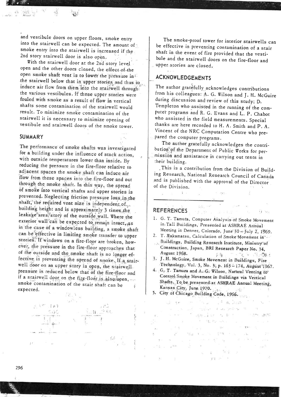and vesribule doors on upper floors, smoke entry into the stairwell can be expected. The amount of smoke entry into the stairwell is increased if the 2nd story srairwell door is also open.

With the stairwell door at the 2nd story level. open and the other doors closed, the effect of the open smoke shaft vent is to lower the pressure in the stairwell below that in upper stories, and thus to induce air flow from them into the stairwell through the various vestibules. If these upper stories were fouled with smoke as a result of flow in vertical<br>shafts some contamination of the stairwell would result. To minimize smoke contamination of the stairwell it is necessary to minimize opening of vestibule and stairwell doors of the smoke tower.

#### SUMMARY

The performance of smoke shafts was investigated for a building under the influence of stack action, with outside temperatures lower than inside. By reducing the pressure in the fire-floor relative to adjacent spaces the smoke shaft can induce air flow from these spaces into the fire-floor and out through the smoke shaft. In this way, the spread of smoke into vertical shafts and upper stories is prevented. Neglecting friction pressure loss, in the shaft, the reduired vent size is independent of building height and is approximately 3 times, the leaka'ge" area/story of the outside wall. Where the exterior wall can be expected to remain intact, as in the case of a windowless building, a smoke shaft can be effective in limiting smoke transfer to upper stories. If windows on a fire-floor are broken, however, the pressure in the fire-floor approaches that of the outside and the smoke shaft is no longer effective in preventing the spread of smoke. If a stairwell door on an upper story is open, the stairwell pressure is reduced below that of the fire-floor and<br>if a stairwell door on the fire-floor is also-open,<br>smoke contamination of the stair shaft can be expected.



The smoke-proof cower for incerior stairwells can be effecrive in prevenring contamination of a scair shaft in rhe event of fire provided thar rhe vesribule and the stairwell doors on the fire-floor and upper stories are closed.

## ACKNOWLEDGEMENTS

The author gratefully acknowledges contributions from his colleagues: A. G. Wilson and J. H. McGuire during discussion and review of this study; D.<br>Templeton who assisted in the running of the computer programs and R. G. Evans and L. P. Chabot who assisted in the field measurements. Special thanks are here recorded to H. A. Smith and P. A. Vincent of the NRC Computation Centre who pre-<br>pared the computer programs.

The author gratefully acknowledges the contri-<br>bution of the Department of Public Works for permission and assistance in carrying out tests in their building.

. This is a contribution from the Division of Building Research, National Research Council of Canada and is published with the approval of the Director of the Division.

# REFERENCES , last and last the contract of the contract of the contract of the contract of the contract of the

 $1 - 1 -$ 

- 1. G. T. Tamuta, Computer Analysis of Smoke Movement in, Tall Buildings, Presented at ASHRAE Anhual
- Meeting in Denver, Colorado, June<sup>9</sup>30 July 2, 1969.<br>2. T. Wakamatsu, Calculation of Smoke Movement in<sup>teress</sup>.<br>Buildings, Building Research Institute, Ministry of Construction, Japan, BRI Research Paper No. 34, August 1968.
- **FAONE PERSON ERR** 3. J. H. McGuire, Smoke Movement in Buildings, Fire Technology, Vol. 3, No. 3, p. 163-174, August 1967.
- 4. G. T. Tamura and A. G. Wilson, Natural Venting to Control Smoke Movement in Buildings via Vertical Shafts, To be presented at ASHRAE Annual Meeting, Kansas City, June 1970.  $\omega\sigma_{\rm eff}^{\rm 2.5}$
- 5. City of Chicago Building Code, 1966.

In the set of the second terms of the second terms of the second terms of the second terms of the second terms.  $\mathcal{A}^{\mathcal{G}}_{\mathcal{A}}=\mathcal{B}(\mathcal{O})$  $\label{eq:2.1} \begin{array}{lllllllllllllllllll} \alpha_{\alpha} & \alpha_{\beta} & \alpha_{\beta} & \alpha_{\beta} & \alpha_{\beta} & \alpha_{\beta} & \alpha_{\beta} & \alpha_{\beta} & \alpha_{\beta} & \alpha_{\beta} \\ \hline \alpha_{\alpha} & \alpha_{\beta} & \alpha_{\beta} & \alpha_{\beta} & \alpha_{\beta} & \alpha_{\beta} & \alpha_{\beta} & \alpha_{\beta} & \alpha_{\beta} & \alpha_{\beta} & \alpha_{\beta} \\ \end{array}$ G. H.M.  $\mathbb{R}$  . a little of the same and a second - 20 The Card  $\label{eq:2.1} \widetilde{\mathcal{C}}^{\mathcal{C}}=-\widetilde{\mathcal{C}}_{\mathcal{C}Z}=\widetilde{\mathcal{C}}_{\mathcal{C}Z}=\widetilde{\mathcal{C}}_{\mathcal{C}Z}=\widetilde{\mathcal{C}}_{\mathcal{C}Z}=\widetilde{\mathcal{C}}_{\mathcal{C}Z}=\widetilde{\mathcal{C}}_{\mathcal{C}Z}=\widetilde{\mathcal{C}}_{\mathcal{C}Z}$ ਵਾ ਕੁੱਤ ਪੁਸ਼ਾਣੂੰ ਹੁੰ ਤੇ ਮਨੋਸ  $-1.79$ and the control of the control of  $\sim 10$ PER PROPERTY